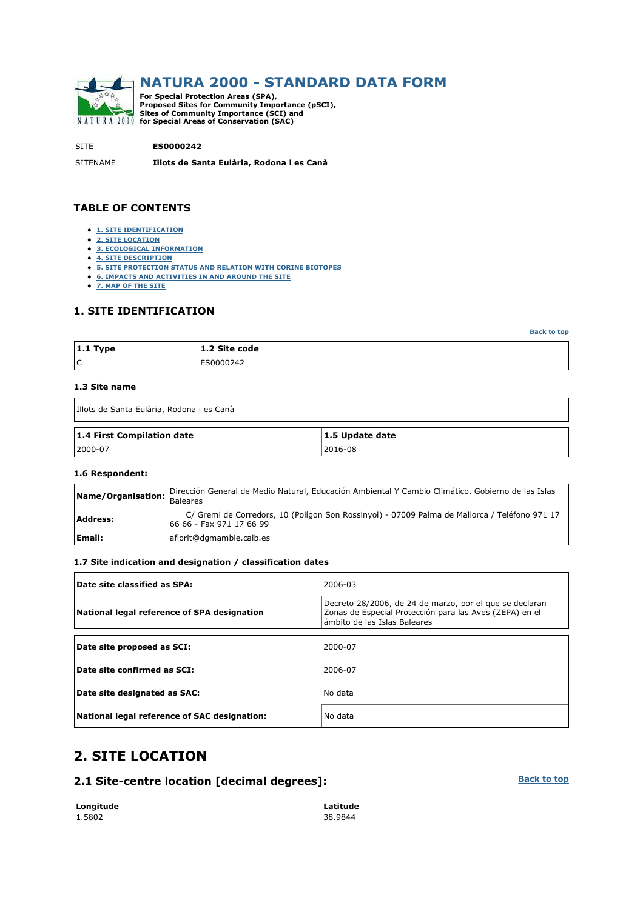

# **NATURA 2000 - STANDARD DATA FORM**

**For Special Protection Areas (SPA), Proposed Sites for Community Importance (pSCI), Sites of Community Importance (SCI) and for Special Areas of Conservation (SAC)** 

SITE **ES0000242**

SITENAME **Illots de Santa Eulària, Rodona i es Canà**

### **TABLE OF CONTENTS**

- **1. SITE IDENTIFICATION**
- **2. SITE LOCATION**
- **3. ECOLOGICAL INFORMATION 4. SITE DESCRIPTION**
- **5. SITE PROTECTION STATUS AND RELATION WITH CORINE BIOTOPES**
- **6. IMPACTS AND ACTIVITIES IN AND AROUND THE SITE**
- **7. MAP OF THE SITE**

### **1. SITE IDENTIFICATION**

**Back to top**

| $ 1.1$ Type | 1.2 Site code |
|-------------|---------------|
| ١c          | ES0000242     |

#### **1.3 Site name**

Ĭ

| IIIots de Santa Eulària, Rodona i es Canà |                 |  |  |  |  |
|-------------------------------------------|-----------------|--|--|--|--|
| 1.4 First Compilation date                | 1.5 Update date |  |  |  |  |
| 2000-07                                   | 2016-08         |  |  |  |  |

#### **1.6 Respondent:**

| Name/Organisation: | Dirección General de Medio Natural, Educación Ambiental Y Cambio Climático. Gobierno de las Islas<br><b>Baleares</b>      |
|--------------------|---------------------------------------------------------------------------------------------------------------------------|
| Address:           | C/ Gremi de Corredors, 10 (Polígon Son Rossinyol) - 07009 Palma de Mallorca / Teléfono 971 17<br>66 66 - Fax 971 17 66 99 |
| Email:             | aflorit@dgmambie.caib.es                                                                                                  |

### **1.7 Site indication and designation / classification dates**

| Date site classified as SPA:                 | 2006-03                                                                                                                                            |
|----------------------------------------------|----------------------------------------------------------------------------------------------------------------------------------------------------|
| National legal reference of SPA designation  | Decreto 28/2006, de 24 de marzo, por el que se declaran<br>Zonas de Especial Protección para las Aves (ZEPA) en el<br>ámbito de las Islas Baleares |
|                                              |                                                                                                                                                    |
| Date site proposed as SCI:                   | 2000-07                                                                                                                                            |
| $\vert$ Date site confirmed as SCI:          | 2006-07                                                                                                                                            |
| Date site designated as SAC:                 | No data                                                                                                                                            |
| National legal reference of SAC designation: | No data                                                                                                                                            |

## **2. SITE LOCATION**

### **2.1 Site-centre location [decimal degrees]:**

| Longitude | Latitude |
|-----------|----------|
| 1.5802    | 38.9844  |

**Back to top**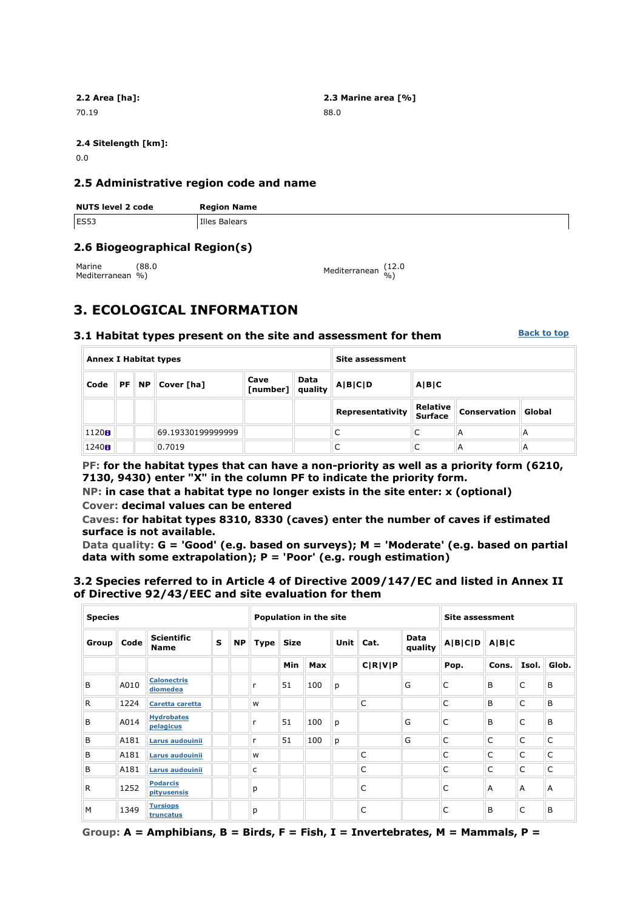70.19 88.0

**2.2 Area [ha]: 2.3 Marine area [%]**

**2.4 Sitelength [km]:**

0.0

### **2.5 Administrative region code and name**

| <b>NUTS level 2 code</b> | <b>Region Name</b> |
|--------------------------|--------------------|
| ES53                     | Illes Balears      |

### **2.6 Biogeographical Region(s)**

Marine Mediterranean %) (88.0

%) Mediterranean (12.0 %)

# **3. ECOLOGICAL INFORMATION**

### **3.1 Habitat types present on the site and assessment for them**

**Back to top**

| <b>Annex I Habitat types</b> |    |           |                   |                  | Site assessment |                  |                            |                     |        |
|------------------------------|----|-----------|-------------------|------------------|-----------------|------------------|----------------------------|---------------------|--------|
| Code                         | PF | <b>NP</b> | Cover [ha]        | Cave<br>[number] | Data<br>quality | A B C<br>A B C D |                            |                     |        |
|                              |    |           |                   |                  |                 | Representativity | Relative<br><b>Surface</b> | <b>Conservation</b> | Global |
| 1120 <sub>0</sub>            |    |           | 69.19330199999999 |                  |                 |                  |                            | A                   | А      |
| 1240H                        |    |           | 0.7019            |                  |                 |                  | ◡                          | A                   | А      |

**PF: for the habitat types that can have a non-priority as well as a priority form (6210, 7130, 9430) enter "X" in the column PF to indicate the priority form.** 

**NP: in case that a habitat type no longer exists in the site enter: x (optional) Cover: decimal values can be entered** 

**Caves: for habitat types 8310, 8330 (caves) enter the number of caves if estimated surface is not available.** 

**Data quality: G = 'Good' (e.g. based on surveys); M = 'Moderate' (e.g. based on partial data with some extrapolation); P = 'Poor' (e.g. rough estimation)** 

### **3.2 Species referred to in Article 4 of Directive 2009/147/EC and listed in Annex II of Directive 92/43/EEC and site evaluation for them**

| <b>Species</b> |      |                                  | <b>Population in the site</b> |           |                            |     |     | <b>Site assessment</b> |             |      |                 |              |                |       |  |
|----------------|------|----------------------------------|-------------------------------|-----------|----------------------------|-----|-----|------------------------|-------------|------|-----------------|--------------|----------------|-------|--|
| <b>Group</b>   | Code | <b>Scientific</b><br><b>Name</b> | $\mathbf{s}$                  | <b>NP</b> | <b>Size</b><br><b>Type</b> |     |     |                        | <b>Unit</b> | Cat. | Data<br>quality | A B C D      | A B C          |       |  |
|                |      |                                  |                               |           |                            | Min | Max |                        | C R V P     |      | Pop.            | Cons.        | Isol.          | Glob. |  |
| B              | A010 | <b>Calonectris</b><br>diomedea   |                               |           | r                          | 51  | 100 | p                      |             | G    | C               | B            | C              | B     |  |
| R              | 1224 | Caretta caretta                  |                               |           | W                          |     |     |                        | C           |      | C               | B            | C              | B     |  |
| B              | A014 | <b>Hydrobates</b><br>pelagicus   |                               |           |                            | 51  | 100 | p                      |             | G    | C               | B            | C              | B     |  |
| B              | A181 | Larus audouinii                  |                               |           | r                          | 51  | 100 | p                      |             | G    | C               | $\mathsf{C}$ | C              | C     |  |
| B              | A181 | Larus audouinii                  |                               |           | W                          |     |     |                        | C           |      | C               | C            | C              | C     |  |
| B              | A181 | Larus audouinii                  |                               |           | c                          |     |     |                        | C           |      | C               | C            | C              | C     |  |
| R              | 1252 | <b>Podarcis</b><br>pityusensis   |                               |           | p                          |     |     |                        | C           |      | C               | A            | $\overline{A}$ | A     |  |
| M              | 1349 | <b>Tursiops</b><br>truncatus     |                               |           | p                          |     |     |                        | C           |      | C               | B            | C              | B     |  |

**Group: A = Amphibians, B = Birds, F = Fish, I = Invertebrates, M = Mammals, P =**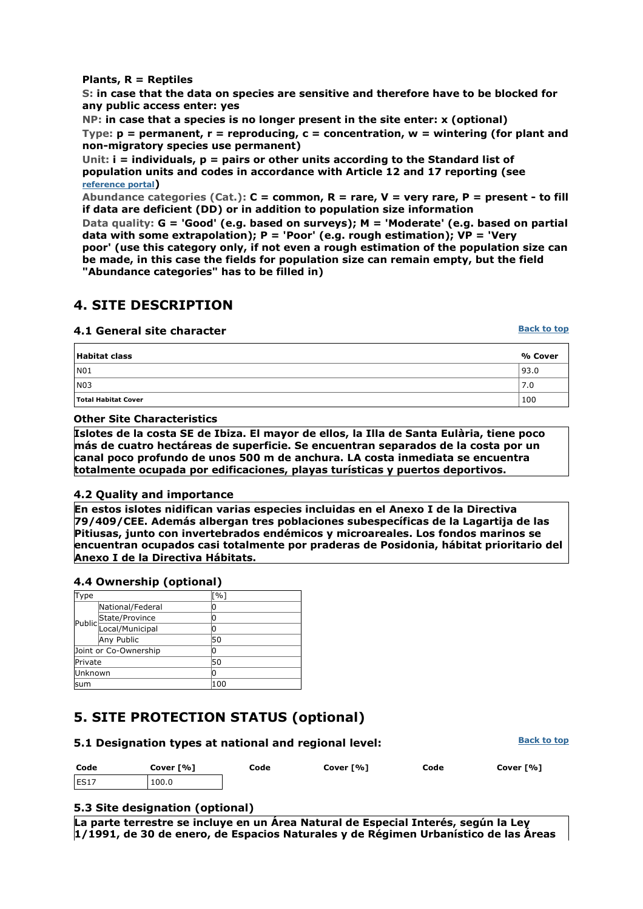### **Plants, R = Reptiles**

**S: in case that the data on species are sensitive and therefore have to be blocked for any public access enter: yes** 

**NP: in case that a species is no longer present in the site enter: x (optional) Type: p = permanent, r = reproducing, c = concentration, w = wintering (for plant and non-migratory species use permanent)** 

**Unit: i = individuals, p = pairs or other units according to the Standard list of population units and codes in accordance with Article 12 and 17 reporting (see reference portal)** 

**Abundance categories (Cat.): C = common, R = rare, V = very rare, P = present - to fill if data are deficient (DD) or in addition to population size information** 

**Data quality: G = 'Good' (e.g. based on surveys); M = 'Moderate' (e.g. based on partial data with some extrapolation); P = 'Poor' (e.g. rough estimation); VP = 'Very poor' (use this category only, if not even a rough estimation of the population size can be made, in this case the fields for population size can remain empty, but the field "Abundance categories" has to be filled in)** 

## **4. SITE DESCRIPTION**

### **4.1 General site character**

**Back to top**

| Habitat class       | % Cover |
|---------------------|---------|
| NO1                 | 93.0    |
| N03                 | 7.0     |
| Total Habitat Cover | 100     |

### **Other Site Characteristics**

**Islotes de la costa SE de Ibiza. El mayor de ellos, la Illa de Santa Eulària, tiene poco más de cuatro hectáreas de superficie. Se encuentran separados de la costa por un canal poco profundo de unos 500 m de anchura. LA costa inmediata se encuentra totalmente ocupada por edificaciones, playas turísticas y puertos deportivos.**

### **4.2 Quality and importance**

**En estos islotes nidifican varias especies incluidas en el Anexo I de la Directiva 79/409/CEE. Además albergan tres poblaciones subespecíficas de la Lagartija de las Pitiusas, junto con invertebrados endémicos y microareales. Los fondos marinos se encuentran ocupados casi totalmente por praderas de Posidonia, hábitat prioritario del Anexo I de la Directiva Hábitats.**

### **4.4 Ownership (optional)**

| Type                  |                       | [%] |
|-----------------------|-----------------------|-----|
|                       | National/Federal      | 0   |
|                       |                       | 0   |
|                       | Public State/Province | 0   |
|                       | Any Public            | 50  |
| Joint or Co-Ownership |                       | ი   |
| Private               |                       | 50  |
| <b>Unknown</b>        |                       | 0   |
| lsum                  |                       | 100 |

## **5. SITE PROTECTION STATUS (optional)**

| 5.1 Designation types at national and regional level: | <b>Back to top</b> |      |           |      |           |
|-------------------------------------------------------|--------------------|------|-----------|------|-----------|
| Code                                                  | Cover [%]          | Code | Cover [%] | Code | Cover [%] |
| ES17                                                  | 100.0              |      |           |      |           |

### **5.3 Site designation (optional)**

**La parte terrestre se incluye en un Área Natural de Especial Interés, según la Ley 1/1991, de 30 de enero, de Espacios Naturales y de Régimen Urbanístico de las Áreas**